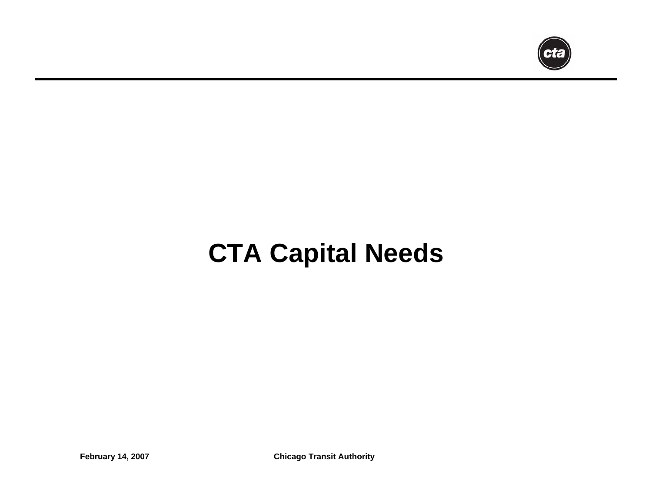

# **CTA Capital Needs**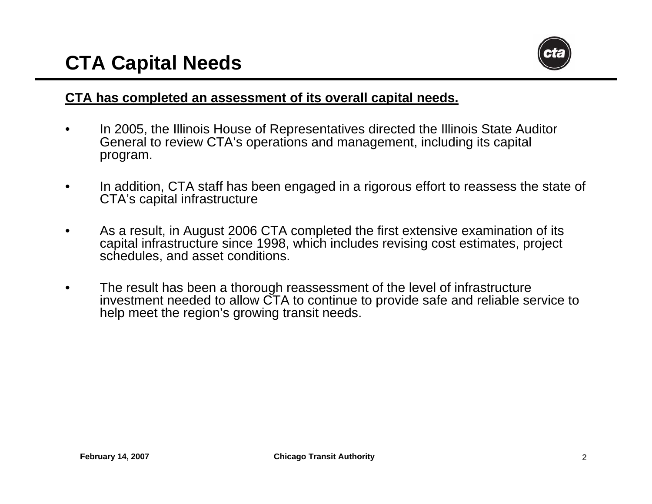

#### **CTA has completed an assessment of its overall capital needs.**

- • In 2005, the Illinois House of Representatives directed the Illinois State Auditor General to review CTA's operations and management, including its capital program.
- • In addition, CTA staff has been engaged in a rigorous effort to reassess the state of CTA's capital infrastructure
- •As a result, in August 2006 CTA completed the first extensive examination of its capital infrastructure since 1998, which includes revising cost estimates, project schedules, and asset conditions.
- •The result has been a thorough reassessment of the level of infrastructure investment needed to allow CTA to continue to provide safe and reliable service to help meet the region's growing transit needs.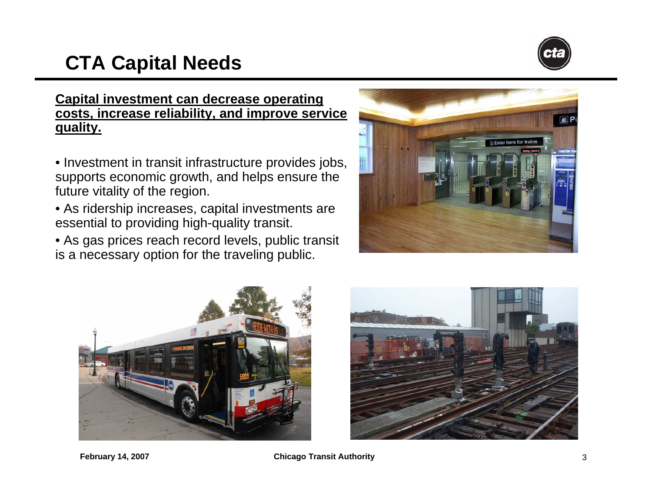# **CTA Capital Needs**



#### **Capital investment can decrease operating costs, increase reliability, and improve service quality.**

- Investment in transit infrastructure provides jobs, supports economic growth, and helps ensure the future vitality of the region.
- As ridership increase s, capital investments are essential to providing high-quality transit.
- As gas prices reach record levels, public transit is a necessary option for the traveling public.





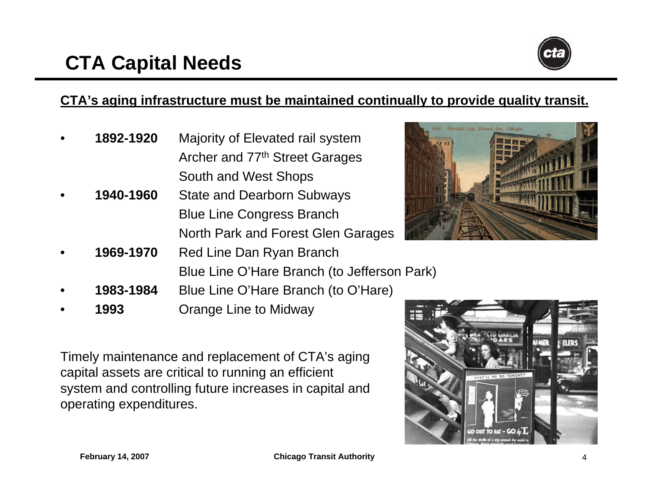

#### **CTA's aging inf rastructure must be maintained continually to provide quality transit.**

- • **1892-1920** Majority of Elevated rail system Archer and 77<sup>th</sup> Street Garages South and West Shops
- • **1940-1960** State and Dearborn Subways Blue Line Congress Branch North Park and Forest Glen Garages
- • **1969-1970** Red Line Dan Ryan Branch Blue Line O'Hare Branch (to Jefferson Park)
- • **1983-1984**Blue Line O'Hare Branch (to O'Hare)
- • **1993**Orange Line to Midway

Timely maintenance and replacement of CTA's aging capital assets are critical to running an efficient system and controlling future increases in capital and operating expenditures.



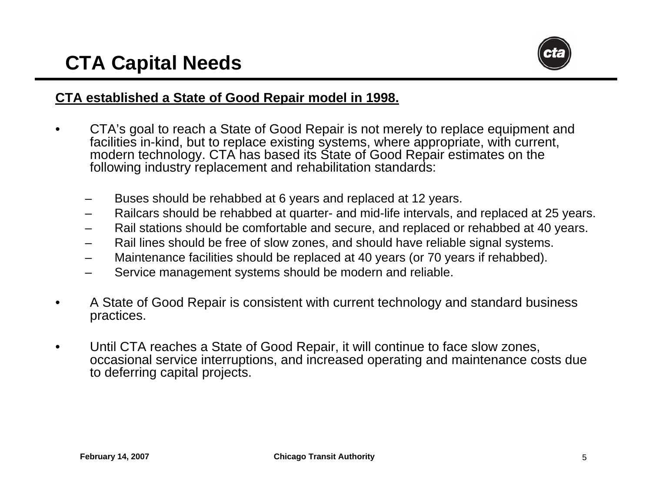

#### **CTA established a State of Good Repair model in 1998.**

- •CTA's goal to reach a State of Good Repair is not merely to replace equipment and facilities in-kind, but to replace existing systems, where appropriate, with current, modern technology. CTA has based its State of Good Repair estimates on the following industry replacement and rehabilitation standar ds:
	- –Buses should be rehabbed at 6 years and replaced at 12 years.
	- –Railcars shoul d be rehabbed at quarter- and mid-life intervals, and replaced at 25 years.
	- –Rail stations should be comfortable and secure, and replaced or rehabbed at 40 years.
	- –Rail lines should be free of slow zones, and shoul d have reliable signal systems.
	- –Maintenance facilities should be replaced at 40 years (or 70 years if rehabbed).
	- –Service management systems should be modern and reliable.
- •A State of Good Repair is consistent with current technology and standard business practices.
- •Until CTA reaches a State of Good Repair, it will continue to face slo w zones, occasional service interruptions, and increased operating and maintenance costs due to deferring capital projects.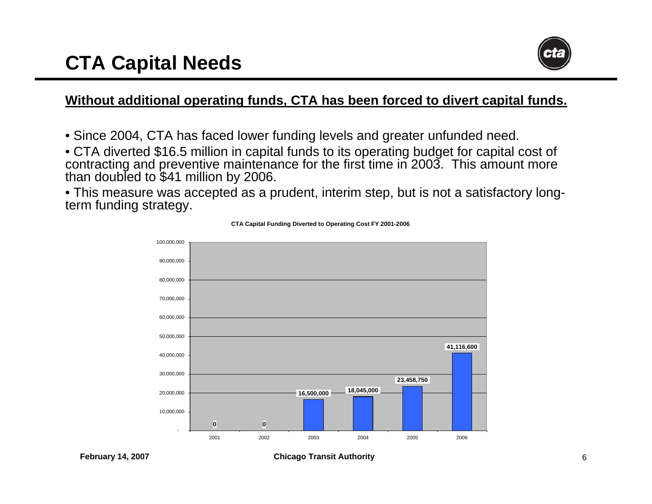# **CTA Capital Needs**



#### **Without additional operating funds, CTA has been forced to divert capital funds.**

- Since 2004, CTA has faced lower funding levels and greater unfunded need.
- CTA diverted \$16.5 million in capital funds to its operating budget for capital cost of contracting and preventive maintenance for the first time in 2003. This amount more than doubled to \$41 million by 2006.
- This measure was accepted as a prudent, interim step, but is not a satisfactory longterm funding strategy.



**CTA Capital Funding Diverted to Operating Cost FY 2001-2006**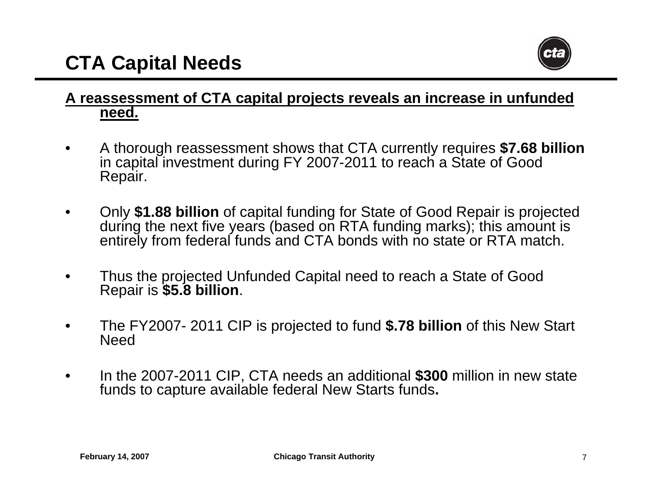

#### **A reassessment of CTA capital projects reveals an increase in unfunded need.**

- •A thorough reassessment shows that CTA currently requires **\$7.68 billion** in capital investment during FY 2007-2011 to reach a State of Good Repair.
- • O nly **\$1.88 billion** of capital funding for State of Good Repair is projected during the next five years (based on RTA funding marks); this amount is entirely from federal funds and CTA bonds with no state or RTA match.
- •Thus the projected Unfunded Capital need to reach a State of Good Repair is **\$5.8 billion**.
- •The FY2007- 2011 CIP is projected to fund **\$.78 billion** of this New Start **Need**
- • In the 2007-2011 CIP, CTA needs an additional **\$300** million in new state funds to capture available federal New Starts funds**.**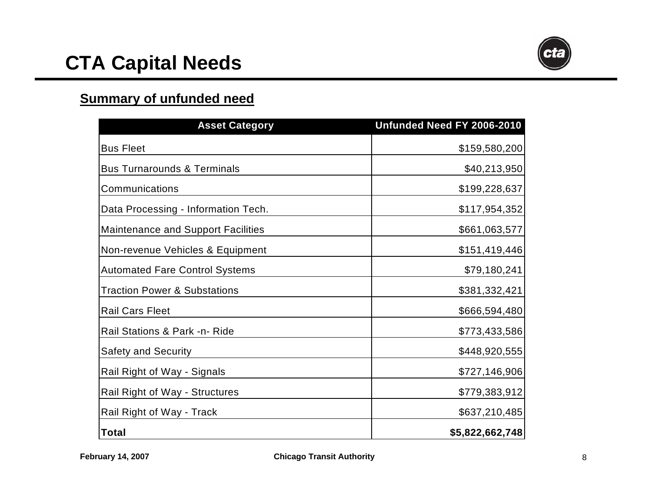

#### **Summary of unfunded nee d**

| <b>Asset Category</b>                     | Unfunded Need FY 2006-2010 |
|-------------------------------------------|----------------------------|
| <b>Bus Fleet</b>                          | \$159,580,200              |
| <b>Bus Turnarounds &amp; Terminals</b>    | \$40,213,950               |
| Communications                            | \$199,228,637              |
| Data Processing - Information Tech.       | \$117,954,352              |
| <b>Maintenance and Support Facilities</b> | \$661,063,577              |
| Non-revenue Vehicles & Equipment          | \$151,419,446              |
| <b>Automated Fare Control Systems</b>     | \$79,180,241               |
| <b>Traction Power &amp; Substations</b>   | \$381,332,421              |
| <b>Rail Cars Fleet</b>                    | \$666,594,480              |
| Rail Stations & Park -n- Ride             | \$773,433,586              |
| <b>Safety and Security</b>                | \$448,920,555              |
| Rail Right of Way - Signals               | \$727,146,906              |
| Rail Right of Way - Structures            | \$779,383,912              |
| Rail Right of Way - Track                 | \$637,210,485              |
| Total                                     | \$5,822,662,748            |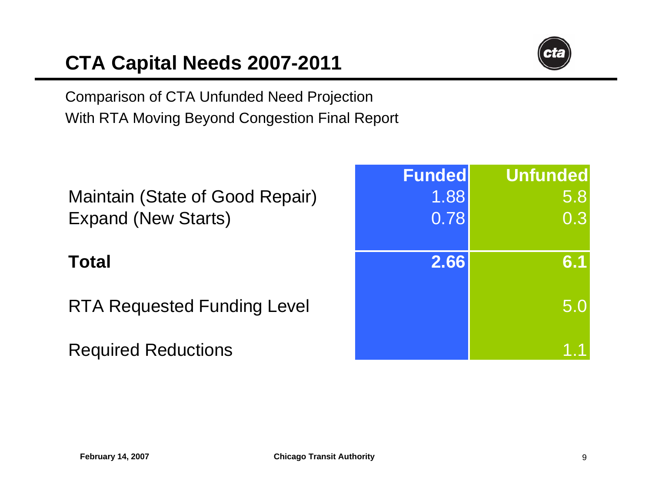# **CTA Capital Needs 2007-2011**



Comparison of CTA Unfunded Need Projection With RTA Moving Beyond Congestion Final Report

### Maintain (State of G ood Repai r Expand ( New Starts

### **Tot**

RTA Reques ted F unding Level 5.0

Required Reduc tions

| ntain (State of Good Repair)<br>and (New Starts) | <b>Funded</b><br>1.88<br>0.78 | <b>Unfunded</b><br>5.8<br>0.3 |
|--------------------------------------------------|-------------------------------|-------------------------------|
| al                                               | 2.66                          | 6.1                           |
| <b>A Requested Funding Level</b>                 |                               | 5.0                           |
| quired Reductions                                |                               |                               |